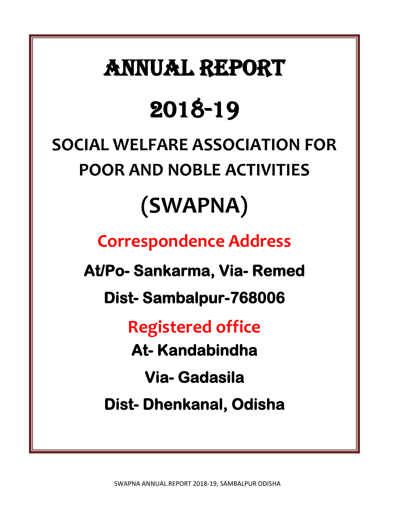## ANNUAL REPORT

## 2018-19

# **SOCIAL WELFARE ASSOCIATION FOR POOR AND NOBLE ACTIVITIES**

## **(SWAPNA)**

### **Correspondence Address**

**At/Po- Sankarma, Via- Remed** 

**Dist- Sambalpur-768006** 

**Registered office**

**At- Kandabindha** 

**Via- Gadasila** 

**Dist- Dhenkanal, Odisha**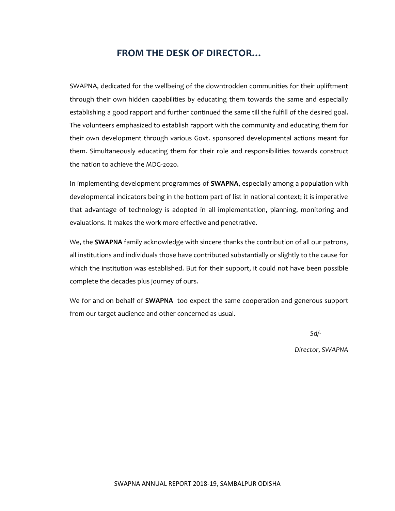#### **FROM THE DESK OF DIRECTOR…**

SWAPNA, dedicated for the wellbeing of the downtrodden communities for their upliftment through their own hidden capabilities by educating them towards the same and especially establishing a good rapport and further continued the same till the fulfill of the desired goal. The volunteers emphasized to establish rapport with the community and educating them for their own development through various Govt. sponsored developmental actions meant for them. Simultaneously educating them for their role and responsibilities towards construct the nation to achieve the MDG-2020.

In implementing development programmes of **SWAPNA**, especially among a population with developmental indicators being in the bottom part of list in national context; it is imperative that advantage of technology is adopted in all implementation, planning, monitoring and evaluations. It makes the work more effective and penetrative.

We, the **SWAPNA** family acknowledge with sincere thanks the contribution of all our patrons, all institutions and individuals those have contributed substantially or slightly to the cause for which the institution was established. But for their support, it could not have been possible complete the decades plus journey of ours.

We for and on behalf of **SWAPNA** too expect the same cooperation and generous support from our target audience and other concerned as usual.

 *Sd/-*

 *Director, SWAPNA*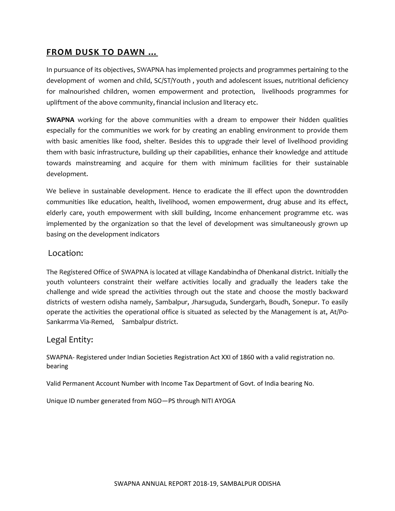#### **FROM DUSK TO DAWN …**

In pursuance of its objectives, SWAPNA has implemented projects and programmes pertaining to the development of women and child, SC/ST/Youth , youth and adolescent issues, nutritional deficiency for malnourished children, women empowerment and protection, livelihoods programmes for upliftment of the above community, financial inclusion and literacy etc.

**SWAPNA** working for the above communities with a dream to empower their hidden qualities especially for the communities we work for by creating an enabling environment to provide them with basic amenities like food, shelter. Besides this to upgrade their level of livelihood providing them with basic infrastructure, building up their capabilities, enhance their knowledge and attitude towards mainstreaming and acquire for them with minimum facilities for their sustainable development.

We believe in sustainable development. Hence to eradicate the ill effect upon the downtrodden communities like education, health, livelihood, women empowerment, drug abuse and its effect, elderly care, youth empowerment with skill building, Income enhancement programme etc. was implemented by the organization so that the level of development was simultaneously grown up basing on the development indicators

#### Location:

The Registered Office of SWAPNA is located at village Kandabindha of Dhenkanal district. Initially the youth volunteers constraint their welfare activities locally and gradually the leaders take the challenge and wide spread the activities through out the state and choose the mostly backward districts of western odisha namely, Sambalpur, Jharsuguda, Sundergarh, Boudh, Sonepur. To easily operate the activities the operational office is situated as selected by the Management is at, At/Po-Sankarrma Via-Remed, Sambalpur district.

#### Legal Entity:

SWAPNA- Registered under Indian Societies Registration Act XXI of 1860 with a valid registration no. bearing

Valid Permanent Account Number with Income Tax Department of Govt. of India bearing No.

Unique ID number generated from NGO—PS through NITI AYOGA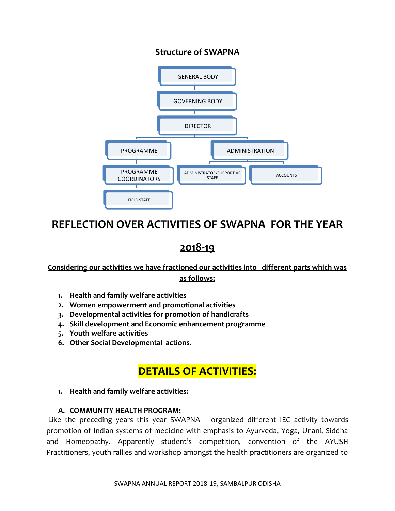#### **Structure of SWAPNA**



#### **REFLECTION OVER ACTIVITIES OF SWAPNA FOR THE YEAR**

#### **2018-19**

**Considering our activities we have fractioned our activities into different parts which was as follows;**

- **1. Health and family welfare activities**
- **2. Women empowerment and promotional activities**
- **3. Developmental activities for promotion of handicrafts**
- **4. Skill development and Economic enhancement programme**
- **5. Youth welfare activities**
- **6. Other Social Developmental actions.**

#### **DETAILS OF ACTIVITIES:**

**1. Health and family welfare activities:**

#### **A. COMMUNITY HEALTH PROGRAM:**

Like the preceding years this year SWAPNA organized different IEC activity towards promotion of Indian systems of medicine with emphasis to Ayurveda, Yoga, Unani, Siddha and Homeopathy. Apparently student's competition, convention of the AYUSH Practitioners, youth rallies and workshop amongst the health practitioners are organized to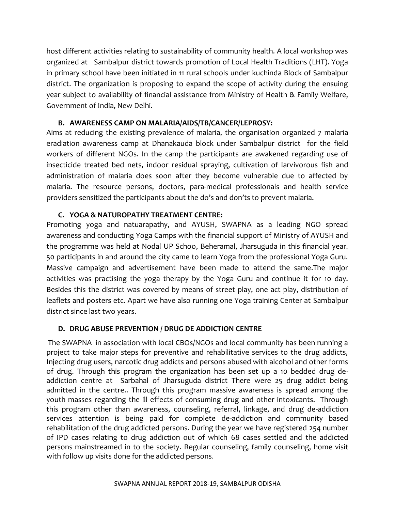host different activities relating to sustainability of community health. A local workshop was organized at Sambalpur district towards promotion of Local Health Traditions (LHT). Yoga in primary school have been initiated in 11 rural schools under kuchinda Block of Sambalpur district. The organization is proposing to expand the scope of activity during the ensuing year subject to availability of financial assistance from Ministry of Health & Family Welfare, Government of India, New Delhi.

#### **B. AWARENESS CAMP ON MALARIA/AIDS/TB/CANCER/LEPROSY:**

Aims at reducing the existing prevalence of malaria, the organisation organized 7 malaria eradiation awareness camp at Dhanakauda block under Sambalpur district for the field workers of different NGOs. In the camp the participants are awakened regarding use of insecticide treated bed nets, indoor residual spraying, cultivation of larvivorous fish and administration of malaria does soon after they become vulnerable due to affected by malaria. The resource persons, doctors, para-medical professionals and health service providers sensitized the participants about the do's and don'ts to prevent malaria.

#### **C. YOGA & NATUROPATHY TREATMENT CENTRE:**

Promoting yoga and natuarapathy, and AYUSH, SWAPNA as a leading NGO spread awareness and conducting Yoga Camps with the financial support of Ministry of AYUSH and the programme was held at Nodal UP Schoo, Beheramal, Jharsuguda in this financial year. 50 participants in and around the city came to learn Yoga from the professional Yoga Guru. Massive campaign and advertisement have been made to attend the same.The major activities was practising the yoga therapy by the Yoga Guru and continue it for 10 day. Besides this the district was covered by means of street play, one act play, distribution of leaflets and posters etc. Apart we have also running one Yoga training Center at Sambalpur district since last two years.

#### **D. DRUG ABUSE PREVENTION / DRUG DE ADDICTION CENTRE**

The SWAPNA in association with local CBOs/NGOs and local community has been running a project to take major steps for preventive and rehabilitative services to the drug addicts, Injecting drug users, narcotic drug addicts and persons abused with alcohol and other forms of drug. Through this program the organization has been set up a 10 bedded drug deaddiction centre at Sarbahal of Jharsuguda district There were 25 drug addict being admitted in the centre.. Through this program massive awareness is spread among the youth masses regarding the ill effects of consuming drug and other intoxicants. Through this program other than awareness, counseling, referral, linkage, and drug de-addiction services attention is being paid for complete de-addiction and community based rehabilitation of the drug addicted persons. During the year we have registered 254 number of IPD cases relating to drug addiction out of which 68 cases settled and the addicted persons mainstreamed in to the society. Regular counseling, family counseling, home visit with follow up visits done for the addicted persons.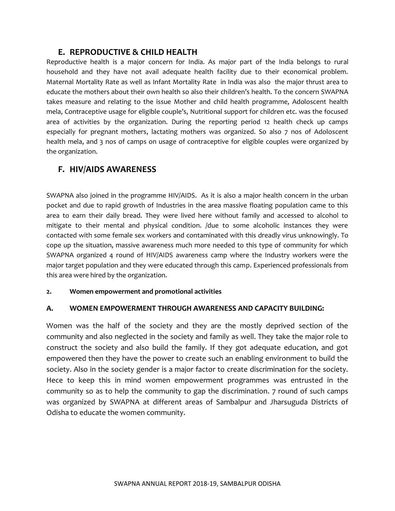#### **E. REPRODUCTIVE & CHILD HEALTH**

Reproductive health is a major concern for India. As major part of the India belongs to rural household and they have not avail adequate health facility due to their economical problem. Maternal Mortality Rate as well as Infant Mortality Rate in India was also the major thrust area to educate the mothers about their own health so also their children's health. To the concern SWAPNA takes measure and relating to the issue Mother and child health programme, Adoloscent health mela, Contraceptive usage for eligible couple's, Nutritional support for children etc. was the focused area of activities by the organization. During the reporting period 12 health check up camps especially for pregnant mothers, lactating mothers was organized. So also 7 nos of Adoloscent health mela, and 3 nos of camps on usage of contraceptive for eligible couples were organized by the organization.

#### **F. HIV/AIDS AWARENESS**

SWAPNA also joined in the programme HIV/AIDS. As it is also a major health concern in the urban pocket and due to rapid growth of Industries in the area massive floating population came to this area to earn their daily bread. They were lived here without family and accessed to alcohol to mitigate to their mental and physical condition. /due to some alcoholic instances they were contacted with some female sex workers and contaminated with this dreadly virus unknowingly. To cope up the situation, massive awareness much more needed to this type of community for which SWAPNA organized 4 round of HIV/AIDS awareness camp where the Industry workers were the major target population and they were educated through this camp. Experienced professionals from this area were hired by the organization.

#### **2. Women empowerment and promotional activities**

#### **A. WOMEN EMPOWERMENT THROUGH AWARENESS AND CAPACITY BUILDING:**

Women was the half of the society and they are the mostly deprived section of the community and also neglected in the society and family as well. They take the major role to construct the society and also build the family. If they got adequate education, and got empowered then they have the power to create such an enabling environment to build the society. Also in the society gender is a major factor to create discrimination for the society. Hece to keep this in mind women empowerment programmes was entrusted in the community so as to help the community to gap the discrimination. 7 round of such camps was organized by SWAPNA at different areas of Sambalpur and Jharsuguda Districts of Odisha to educate the women community.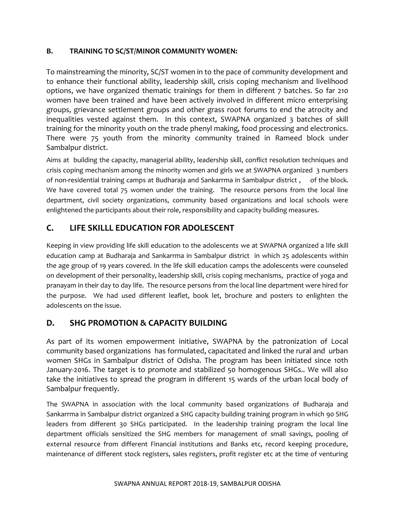#### **B. TRAINING TO SC/ST/MINOR COMMUNITY WOMEN:**

To mainstreaming the minority, SC/ST women in to the pace of community development and to enhance their functional ability, leadership skill, crisis coping mechanism and livelihood options, we have organized thematic trainings for them in different 7 batches. So far 210 women have been trained and have been actively involved in different micro enterprising groups, grievance settlement groups and other grass root forums to end the atrocity and inequalities vested against them. In this context, SWAPNA organized 3 batches of skill training for the minority youth on the trade phenyl making, food processing and electronics. There were 75 youth from the minority community trained in Rameed block under Sambalpur district.

Aims at building the capacity, managerial ability, leadership skill, conflict resolution techniques and crisis coping mechanism among the minority women and girls we at SWAPNA organized 3 numbers of non-residential training camps at Budharaja and Sankarrma in Sambalpur district , of the block. We have covered total 75 women under the training. The resource persons from the local line department, civil society organizations, community based organizations and local schools were enlightened the participants about their role, responsibility and capacity building measures.

#### **C. LIFE SKILLL EDUCATION FOR ADOLESCENT**

Keeping in view providing life skill education to the adolescents we at SWAPNA organized a life skill education camp at Budharaja and Sankarrma in Sambalpur district in which 25 adolescents within the age group of 19 years covered. In the life skill education camps the adolescents were counseled on development of their personality, leadership skill, crisis coping mechanisms, practice of yoga and pranayam in their day to day life. The resource persons from the local line department were hired for the purpose. We had used different leaflet, book let, brochure and posters to enlighten the adolescents on the issue.

#### **D. SHG PROMOTION & CAPACITY BUILDING**

As part of its women empowerment initiative, SWAPNA by the patronization of Local community based organizations has formulated, capacitated and linked the rural and urban women SHGs in Sambalpur district of Odisha. The program has been initiated since 10th January-2016. The target is to promote and stabilized 50 homogenous SHGs.. We will also take the initiatives to spread the program in different 15 wards of the urban local body of Sambalpur frequently.

The SWAPNA in association with the local community based organizations of Budharaja and Sankarrma in Sambalpur district organized a SHG capacity building training program in which 90 SHG leaders from different 30 SHGs participated. In the leadership training program the local line department officials sensitized the SHG members for management of small savings, pooling of external resource from different Financial institutions and Banks etc, record keeping procedure, maintenance of different stock registers, sales registers, profit register etc at the time of venturing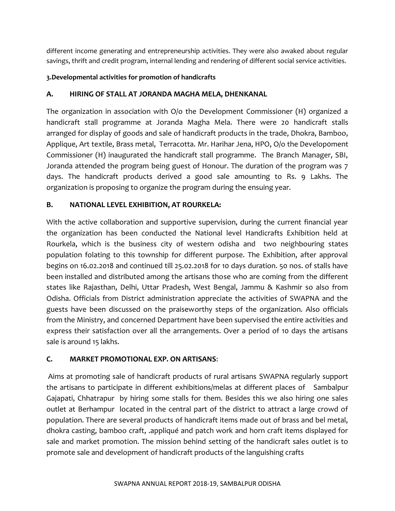different income generating and entrepreneurship activities. They were also awaked about regular savings, thrift and credit program, internal lending and rendering of different social service activities.

#### **3.Developmental activities for promotion of handicrafts**

#### **A. HIRING OF STALL AT JORANDA MAGHA MELA, DHENKANAL**

The organization in association with O/o the Development Commissioner (H) organized a handicraft stall programme at Joranda Magha Mela. There were 20 handicraft stalls arranged for display of goods and sale of handicraft products in the trade, Dhokra, Bamboo, Applique, Art textile, Brass metal, Terracotta. Mr. Harihar Jena, HPO, O/o the Develop0ment Commissioner (H) inaugurated the handicraft stall programme. The Branch Manager, SBI, Joranda attended the program being guest of Honour. The duration of the program was 7 days. The handicraft products derived a good sale amounting to Rs. 9 Lakhs. The organization is proposing to organize the program during the ensuing year.

#### **B. NATIONAL LEVEL EXHIBITION, AT ROURKELA:**

With the active collaboration and supportive supervision, during the current financial year the organization has been conducted the National level Handicrafts Exhibition held at Rourkela, which is the business city of western odisha and two neighbouring states population folating to this township for different purpose. The Exhibition, after approval begins on 16.02.2018 and continued till 25.02.2018 for 10 days duration. 50 nos. of stalls have been installed and distributed among the artisans those who are coming from the different states like Rajasthan, Delhi, Uttar Pradesh, West Bengal, Jammu & Kashmir so also from Odisha. Officials from District administration appreciate the activities of SWAPNA and the guests have been discussed on the praiseworthy steps of the organization. Also officials from the Ministry, and concerned Department have been supervised the entire activities and express their satisfaction over all the arrangements. Over a period of 10 days the artisans sale is around 15 lakhs.

#### **C. MARKET PROMOTIONAL EXP. ON ARTISANS**:

Aims at promoting sale of handicraft products of rural artisans SWAPNA regularly support the artisans to participate in different exhibitions/melas at different places of Sambalpur Gajapati, Chhatrapur by hiring some stalls for them. Besides this we also hiring one sales outlet at Berhampur located in the central part of the district to attract a large crowd of population. There are several products of handicraft items made out of brass and bel metal, dhokra casting, bamboo craft, .appliqué and patch work and horn craft items displayed for sale and market promotion. The mission behind setting of the handicraft sales outlet is to promote sale and development of handicraft products of the languishing crafts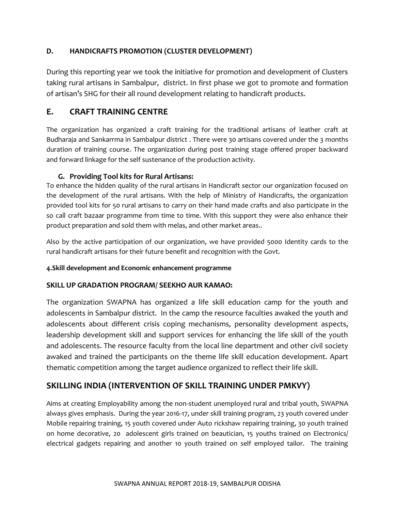#### **D. HANDICRAFTS PROMOTION (CLUSTER DEVELOPMENT)**

During this reporting year we took the initiative for promotion and development of Clusters taking rural artisans in Sambalpur, district. In first phase we got to promote and formation of artisan's SHG for their all round development relating to handicraft products.

#### **E. CRAFT TRAINING CENTRE**

The organization has organized a craft training for the traditional artisans of leather craft at Budharaja and Sankarrma in Sambalpur district . There were 30 artisans covered under the 3 months duration of training course. The organization during post training stage offered proper backward and forward linkage for the self sustenance of the production activity.

#### **G. Providing Tool kits for Rural Artisans:**

To enhance the hidden quality of the rural artisans in Handicraft sector our organization focused on the development of the rural artisans. With the help of Ministry of Handicrafts, the organization provided tool kits for 50 rural artisans to carry on their hand made crafts and also participate in the so call craft bazaar programme from time to time. With this support they were also enhance their product preparation and sold them with melas, and other market areas..

Also by the active participation of our organization, we have provided 5000 Identity cards to the rural handicraft artisans for their future benefit and recognition with the Govt.

#### **4.Skill development and Economic enhancement programme**

#### **SKILL UP GRADATION PROGRAM/ SEEKHO AUR KAMAO:**

The organization SWAPNA has organized a life skill education camp for the youth and adolescents in Sambalpur district. In the camp the resource faculties awaked the youth and adolescents about different crisis coping mechanisms, personality development aspects, leadership development skill and support services for enhancing the life skill of the youth and adolescents. The resource faculty from the local line department and other civil society awaked and trained the participants on the theme life skill education development. Apart thematic competition among the target audience organized to reflect their life skill.

#### **SKILLING INDIA (INTERVENTION OF SKILL TRAINING UNDER PMKVY)**

Aims at creating Employability among the non-student unemployed rural and tribal youth, SWAPNA always gives emphasis. During the year 2016-17, under skill training program, 23 youth covered under Mobile repairing training, 15 youth covered under Auto rickshaw repairing training, 30 youth trained on home decorative, 20 adolescent girls trained on beautician, 15 youths trained on Electronics/ electrical gadgets repairing and another 10 youth trained on self employed tailor. The training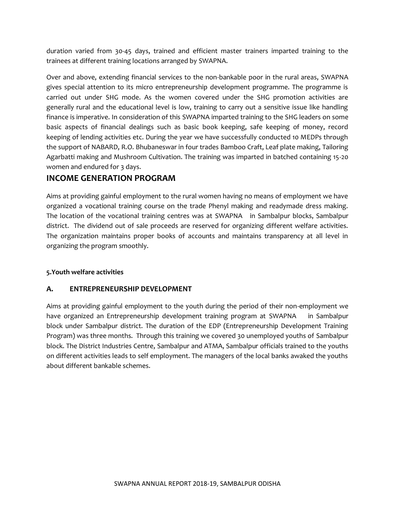duration varied from 30-45 days, trained and efficient master trainers imparted training to the trainees at different training locations arranged by SWAPNA.

Over and above, extending financial services to the non-bankable poor in the rural areas, SWAPNA gives special attention to its micro entrepreneurship development programme. The programme is carried out under SHG mode. As the women covered under the SHG promotion activities are generally rural and the educational level is low, training to carry out a sensitive issue like handling finance is imperative. In consideration of this SWAPNA imparted training to the SHG leaders on some basic aspects of financial dealings such as basic book keeping, safe keeping of money, record keeping of lending activities etc. During the year we have successfully conducted 10 MEDPs through the support of NABARD, R.O. Bhubaneswar in four trades Bamboo Craft, Leaf plate making, Tailoring Agarbatti making and Mushroom Cultivation. The training was imparted in batched containing 15-20 women and endured for 3 days.

#### **INCOME GENERATION PROGRAM**

Aims at providing gainful employment to the rural women having no means of employment we have organized a vocational training course on the trade Phenyl making and readymade dress making. The location of the vocational training centres was at SWAPNA in Sambalpur blocks, Sambalpur district. The dividend out of sale proceeds are reserved for organizing different welfare activities. The organization maintains proper books of accounts and maintains transparency at all level in organizing the program smoothly.

#### **5.Youth welfare activities**

#### **A. ENTREPRENEURSHIP DEVELOPMENT**

Aims at providing gainful employment to the youth during the period of their non-employment we have organized an Entrepreneurship development training program at SWAPNA in Sambalpur block under Sambalpur district. The duration of the EDP (Entrepreneurship Development Training Program) was three months. Through this training we covered 30 unemployed youths of Sambalpur block. The District Industries Centre, Sambalpur and ATMA, Sambalpur officials trained to the youths on different activities leads to self employment. The managers of the local banks awaked the youths about different bankable schemes.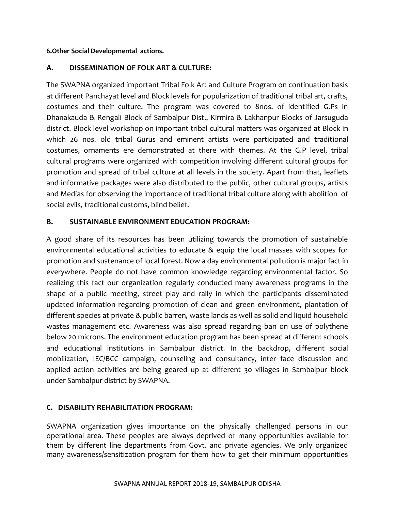#### **6.Other Social Developmental actions.**

#### **A. DISSEMINATION OF FOLK ART & CULTURE:**

The SWAPNA organized important Tribal Folk Art and Culture Program on continuation basis at different Panchayat level and Block levels for popularization of traditional tribal art, crafts, costumes and their culture. The program was covered to 8nos. of identified G.Ps in Dhanakauda & Rengali Block of Sambalpur Dist., Kirmira & Lakhanpur Blocks of Jarsuguda district. Block level workshop on important tribal cultural matters was organized at Block in which 26 nos. old tribal Gurus and eminent artists were participated and traditional costumes, ornaments ere demonstrated at there with themes. At the G.P level, tribal cultural programs were organized with competition involving different cultural groups for promotion and spread of tribal culture at all levels in the society. Apart from that, leaflets and informative packages were also distributed to the public, other cultural groups, artists and Medias for observing the importance of traditional tribal culture along with abolition of social evils, traditional customs, blind belief.

#### **B. SUSTAINABLE ENVIRONMENT EDUCATION PROGRAM:**

A good share of its resources has been utilizing towards the promotion of sustainable environmental educational activities to educate & equip the local masses with scopes for promotion and sustenance of local forest. Now a day environmental pollution is major fact in everywhere. People do not have common knowledge regarding environmental factor. So realizing this fact our organization regularly conducted many awareness programs in the shape of a public meeting, street play and rally in which the participants disseminated updated information regarding promotion of clean and green environment, plantation of different species at private & public barren, waste lands as well as solid and liquid household wastes management etc. Awareness was also spread regarding ban on use of polythene below 20 microns. The environment education program has been spread at different schools and educational institutions in Sambalpur district. In the backdrop, different social mobilization, IEC/BCC campaign, counseling and consultancy, inter face discussion and applied action activities are being geared up at different 30 villages in Sambalpur block under Sambalpur district by SWAPNA.

#### **C. DISABILITY REHABILITATION PROGRAM:**

SWAPNA organization gives importance on the physically challenged persons in our operational area. These peoples are always deprived of many opportunities available for them by different line departments from Govt. and private agencies. We only organized many awareness/sensitization program for them how to get their minimum opportunities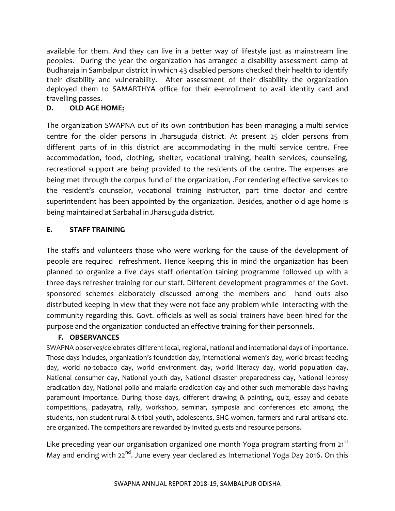available for them. And they can live in a better way of lifestyle just as mainstream line peoples. During the year the organization has arranged a disability assessment camp at Budharaja in Sambalpur district in which 43 disabled persons checked their health to identify their disability and vulnerability. After assessment of their disability the organization deployed them to SAMARTHYA office for their e-enrollment to avail identity card and travelling passes.

#### **D. OLD AGE HOME:**

The organization SWAPNA out of its own contribution has been managing a multi service centre for the older persons in Jharsuguda district. At present 25 older persons from different parts of in this district are accommodating in the multi service centre. Free accommodation, food, clothing, shelter, vocational training, health services, counseling, recreational support are being provided to the residents of the centre. The expenses are being met through the corpus fund of the organization, .For rendering effective services to the resident's counselor, vocational training instructor, part time doctor and centre superintendent has been appointed by the organization. Besides, another old age home is being maintained at Sarbahal in Jharsuguda district.

#### **E. STAFF TRAINING**

The staffs and volunteers those who were working for the cause of the development of people are required refreshment. Hence keeping this in mind the organization has been planned to organize a five days staff orientation taining programme followed up with a three days refresher training for our staff. Different development programmes of the Govt. sponsored schemes elaborately discussed among the members and hand outs also distributed keeping in view that they were not face any problem while interacting with the community regarding this. Govt. officials as well as social trainers have been hired for the purpose and the organization conducted an effective training for their personnels.

#### **F. OBSERVANCES**

SWAPNA observes/celebrates different local, regional, national and international days of importance. Those days includes, organization's foundation day, international women's day, world breast feeding day, world no-tobacco day, world environment day, world literacy day, world population day, National consumer day, National youth day, National disaster preparedness day, National leprosy eradication day, National polio and malaria eradication day and other such memorable days having paramount importance. During those days, different drawing & painting, quiz, essay and debate competitions, padayatra, rally, workshop, seminar, symposia and conferences etc among the students, non-student rural & tribal youth, adolescents, SHG women, farmers and rural artisans etc. are organized. The competitors are rewarded by invited guests and resource persons.

Like preceding year our organisation organized one month Yoga program starting from 21<sup>st</sup> May and ending with  $22^{nd}$ . June every year declared as International Yoga Day 2016. On this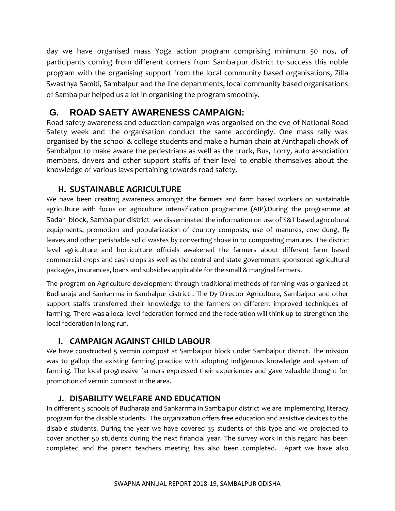day we have organised mass Yoga action program comprising minimum 50 nos, of participants coming from different corners from Sambalpur district to success this noble program with the organising support from the local community based organisations, Zilla Swasthya Samiti, Sambalpur and the line departments, local community based organisations of Sambalpur helped us a lot in organising the program smoothly.

#### **G. ROAD SAETY AWARENESS CAMPAIGN:**

Road safety awareness and education campaign was organised on the eve of National Road Safety week and the organisation conduct the same accordingly. One mass rally was organised by the school & college students and make a human chain at Ainthapali chowk of Sambalpur to make aware the pedestrians as well as the truck, Bus, Lorry, auto association members, drivers and other support staffs of their level to enable themselves about the knowledge of various laws pertaining towards road safety.

#### **H. SUSTAINABLE AGRICULTURE**

We have been creating awareness amongst the farmers and farm based workers on sustainable agriculture with focus on agriculture intensification programme (AIP).During the programme at Sadar block, Sambalpur district we disseminated the information on use of S&T based agricultural equipments, promotion and popularization of country composts, use of manures, cow dung, fly leaves and other perishable solid wastes by converting those in to composting manures. The district level agriculture and horticulture officials awakened the farmers about different farm based commercial crops and cash crops as well as the central and state government sponsored agricultural packages, insurances, loans and subsidies applicable for the small & marginal farmers.

The program on Agriculture development through traditional methods of farming was organized at Budharaja and Sankarrma in Sambalpur district . The Dy Director Agriculture, Sambalpur and other support staffs transferred their knowledge to the farmers on different improved techniques of farming. There was a local level federation formed and the federation will think up to strengthen the local federation in long run.

#### **I. CAMPAIGN AGAINST CHILD LABOUR**

We have constructed 5 vermin compost at Sambalpur block under Sambalpur district. The mission was to gallop the existing farming practice with adopting indigenous knowledge and system of farming. The local progressive farmers expressed their experiences and gave valuable thought for promotion of vermin compost in the area.

#### **J. DISABILITY WELFARE AND EDUCATION**

In different 5 schools of Budharaja and Sankarrma in Sambalpur district we are implementing literacy program for the disable students. The organization offers free education and assistive devices to the disable students. During the year we have covered 35 students of this type and we projected to cover another 50 students during the next financial year. The survey work in this regard has been completed and the parent teachers meeting has also been completed. Apart we have also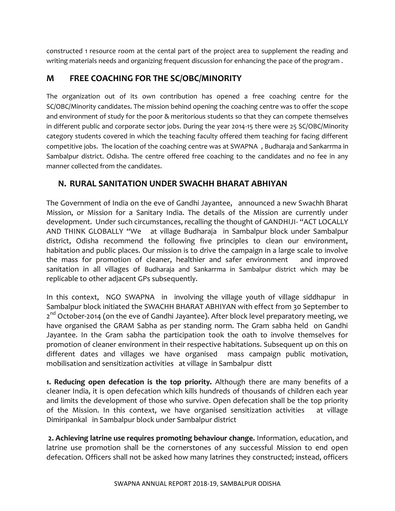constructed 1 resource room at the cental part of the project area to supplement the reading and writing materials needs and organizing frequent discussion for enhancing the pace of the program .

#### **M FREE COACHING FOR THE SC/OBC/MINORITY**

The organization out of its own contribution has opened a free coaching centre for the SC/OBC/Minority candidates. The mission behind opening the coaching centre was to offer the scope and environment of study for the poor & meritorious students so that they can compete themselves in different public and corporate sector jobs. During the year 2014-15 there were 25 SC/OBC/Minority category students covered in which the teaching faculty offered them teaching for facing different competitive jobs. The location of the coaching centre was at SWAPNA , Budharaja and Sankarrma in Sambalpur district. Odisha. The centre offered free coaching to the candidates and no fee in any manner collected from the candidates.

#### **N. RURAL SANITATION UNDER SWACHH BHARAT ABHIYAN**

The Government of India on the eve of Gandhi Jayantee, announced a new Swachh Bharat Mission, or Mission for a Sanitary India. The details of the Mission are currently under development. Under such circumstances, recalling the thought of GANDHIJI- "ACT LOCALLY AND THINK GLOBALLY "We at village Budharaja in Sambalpur block under Sambalpur district, Odisha recommend the following five principles to clean our environment, habitation and public places. Our mission is to drive the campaign in a large scale to involve the mass for promotion of cleaner, healthier and safer environment and improved sanitation in all villages of Budharaja and Sankarrma in Sambalpur district which may be replicable to other adjacent GPs subsequently.

In this context, NGO SWAPNA in involving the village youth of village siddhapur in Sambalpur block initiated the SWACHH BHARAT ABHIYAN with effect from 30 September to 2<sup>nd</sup> October-2014 (on the eve of Gandhi Jayantee). After block level preparatory meeting, we have organised the GRAM Sabha as per standing norm. The Gram sabha held on Gandhi Jayantee. In the Gram sabha the participation took the oath to involve themselves for promotion of cleaner environment in their respective habitations. Subsequent up on this on different dates and villages we have organised mass campaign public motivation, mobilisation and sensitization activities at village in Sambalpur distt

**1. Reducing open defecation is the top priority.** Although there are many benefits of a cleaner India, it is open defecation which kills hundreds of thousands of children each year and limits the development of those who survive. Open defecation shall be the top priority of the Mission. In this context, we have organised sensitization activities at village Dimiripankal in Sambalpur block under Sambalpur district

**2. Achieving latrine use requires promoting behaviour change.** Information, education, and latrine use promotion shall be the cornerstones of any successful Mission to end open defecation. Officers shall not be asked how many latrines they constructed; instead, officers